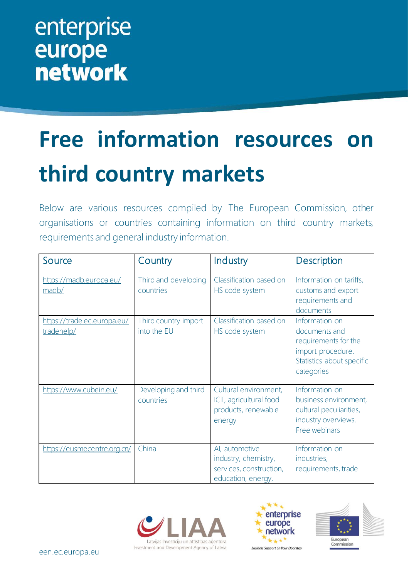## enterprise europe<br>network

## **Free information resources on third country markets**

Below are various resources compiled by The European Commission, other organisations or countries containing information on third country markets, requirements and general industry information.

| Source                                    | Country                             | Industry                                                                                | Description                                                                                                             |
|-------------------------------------------|-------------------------------------|-----------------------------------------------------------------------------------------|-------------------------------------------------------------------------------------------------------------------------|
| https://madb.europa.eu/<br>madb/          | Third and developing<br>countries   | Classification based on<br>HS code system                                               | Information on tariffs,<br>customs and export<br>requirements and<br>documents                                          |
| https://trade.ec.europa.eu/<br>tradehelp/ | Third country import<br>into the EU | Classification based on<br>HS code system                                               | Information on<br>documents and<br>requirements for the<br>import procedure.<br>Statistics about specific<br>categories |
| https://www.cubein.eu/                    | Developing and third<br>countries   | Cultural environment,<br>ICT, agricultural food<br>products, renewable<br>energy        | Information on<br>business environment,<br>cultural peculiarities,<br>industry overviews.<br>Free webinars              |
| https://eusmecentre.org.cn/               | China                               | Al, automotive<br>industry, chemistry,<br>services, construction,<br>education, energy, | Information on<br>industries,<br>requirements, trade                                                                    |





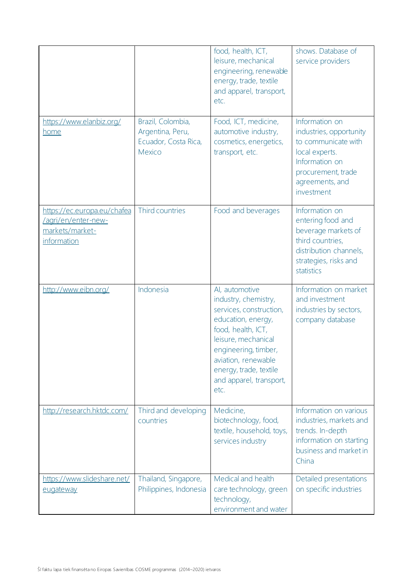|                                                                                      |                                                                         | food, health, ICT,<br>leisure, mechanical<br>engineering, renewable<br>energy, trade, textile<br>and apparel, transport,<br>etc.                                                                                                                 | shows. Database of<br>service providers                                                                                                                     |
|--------------------------------------------------------------------------------------|-------------------------------------------------------------------------|--------------------------------------------------------------------------------------------------------------------------------------------------------------------------------------------------------------------------------------------------|-------------------------------------------------------------------------------------------------------------------------------------------------------------|
| https://www.elanbiz.org/<br>home                                                     | Brazil, Colombia,<br>Argentina, Peru,<br>Ecuador, Costa Rica,<br>Mexico | Food, ICT, medicine,<br>automotive industry,<br>cosmetics, energetics,<br>transport, etc.                                                                                                                                                        | Information on<br>industries, opportunity<br>to communicate with<br>local experts.<br>Information on<br>procurement, trade<br>agreements, and<br>investment |
| https://ec.europa.eu/chafea<br>/agri/en/enter-new-<br>markets/market-<br>information | Third countries                                                         | Food and beverages                                                                                                                                                                                                                               | Information on<br>entering food and<br>beverage markets of<br>third countries,<br>distribution channels,<br>strategies, risks and<br>statistics             |
| http://www.eibn.org/                                                                 | Indonesia                                                               | Al, automotive<br>industry, chemistry,<br>services, construction,<br>education, energy,<br>food, health, ICT,<br>leisure, mechanical<br>engineering, timber,<br>aviation, renewable<br>energy, trade, textile<br>and apparel, transport,<br>etc. | Information on market<br>and investment<br>industries by sectors,<br>company database                                                                       |
| http://research.hktdc.com/                                                           | Third and developing<br>countries                                       | Medicine,<br>biotechnology, food,<br>textile, household, toys,<br>services industry                                                                                                                                                              | Information on various<br>industries, markets and<br>trends. In-depth<br>information on starting<br>business and market in<br>China                         |
| https://www.slideshare.net/<br>eugateway                                             | Thailand, Singapore,<br>Philippines, Indonesia                          | Medical and health<br>care technology, green<br>technology,<br>environment and water                                                                                                                                                             | Detailed presentations<br>on specific industries                                                                                                            |